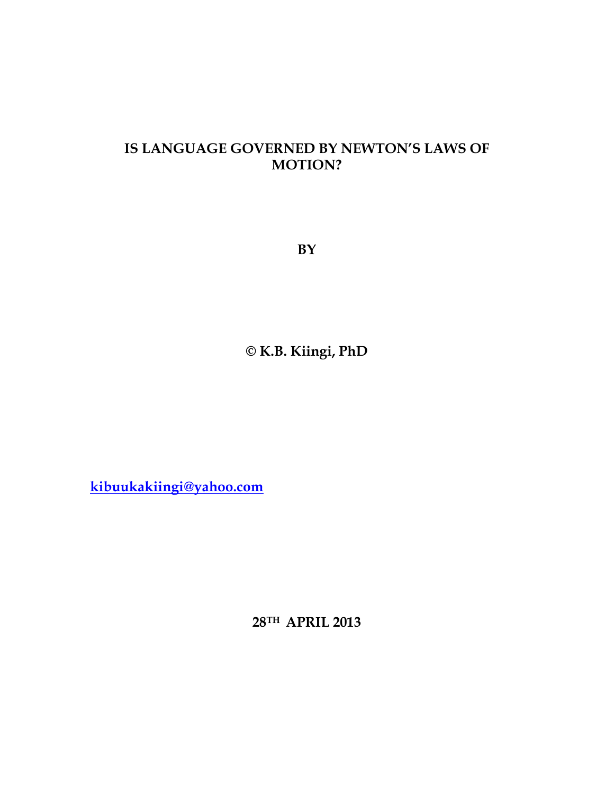## **IS LANGUAGE GOVERNED BY NEWTON'S LAWS OF MOTION?**

**BY** 

**© K.B. Kiingi, PhD** 

**kibuukakiingi@yahoo.com**

**28TH APRIL 2013**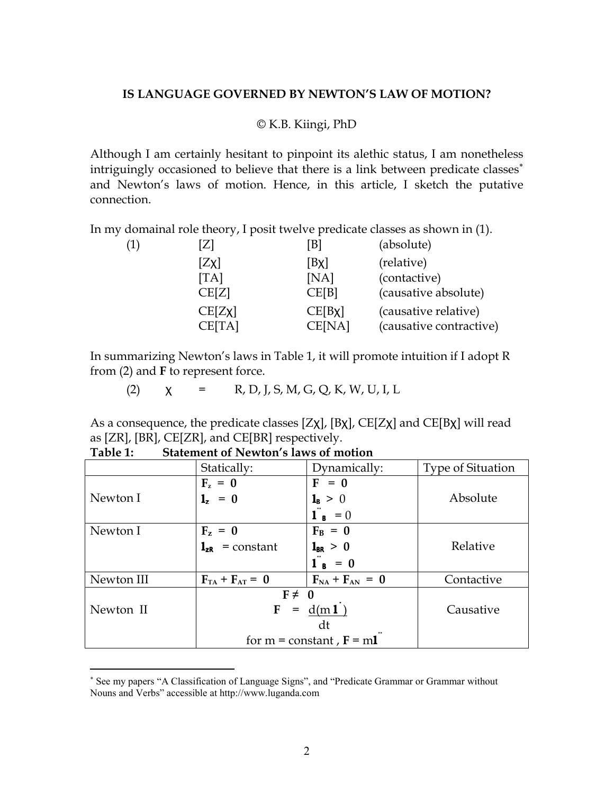## **IS LANGUAGE GOVERNED BY NEWTON'S LAW OF MOTION?**

## © K.B. Kiingi, PhD

Although I am certainly hesitant to pinpoint its alethic status, I am nonetheless intriguingly occasioned to believe that there is a link between predicate classes<sup>\*</sup> and Newton's laws of motion. Hence, in this article, I sketch the putative connection.

In my domainal role theory, I posit twelve predicate classes as shown in (1).

| (1)<br>Z] |        | [B]          | (absolute)              |
|-----------|--------|--------------|-------------------------|
| [Zx]      |        | [ <b>B</b>   | (relative)              |
| [TA]      |        | [NA]         | (contactive)            |
|           | CE[Z]  | CE[B]        | (causative absolute)    |
|           | CE[Zx] | $CE[B \chi]$ | (causative relative)    |
|           | CE[TA] | CE[NA]       | (causative contractive) |

In summarizing Newton's laws in Table 1, it will promote intuition if I adopt R from (2) and **F** to represent force.

(2)  $\chi = R, D, J, S, M, G, Q, K, W, U, I, L$ 

As a consequence, the predicate classes [Zχ], [Bχ], CE[Zχ] and CE[Bχ] will read as [ZR], [BR], CE[ZR], and CE[BR] respectively.

|            | Statically:                   | Dynamically:                           | <b>Type of Situation</b> |
|------------|-------------------------------|----------------------------------------|--------------------------|
|            | $F_z = 0$                     | $F = 0$                                |                          |
| Newton I   | $1_z = 0$                     | $\mathbf{1}_{\mathbf{B}} > 0$          | Absolute                 |
|            |                               | $\mathbf{1}^{\mathbf{a}}$ <b>s</b> = 0 |                          |
| Newton I   | $F_z = 0$                     | $F_B = 0$                              |                          |
|            | $\mathbf{l}_{zR}$ = constant  | $1_{BR} > 0$                           | Relative                 |
|            |                               | $1_B = 0$                              |                          |
| Newton III | $F_{TA} + F_{AT} = 0$         | $F_{NA} + F_{AN} = 0$                  | Contactive               |
|            | $F \neq 0$                    |                                        |                          |
| Newton II  | $F =$                         | d(m1)                                  | Causative                |
|            |                               | dt                                     |                          |
|            | for $m = constant$ , $F = m1$ |                                        |                          |

**Table 1: Statement of Newton's laws of motion** 

<u>.</u>

<sup>∗</sup> See my papers "A Classification of Language Signs", and "Predicate Grammar or Grammar without Nouns and Verbs" accessible at http://www.luganda.com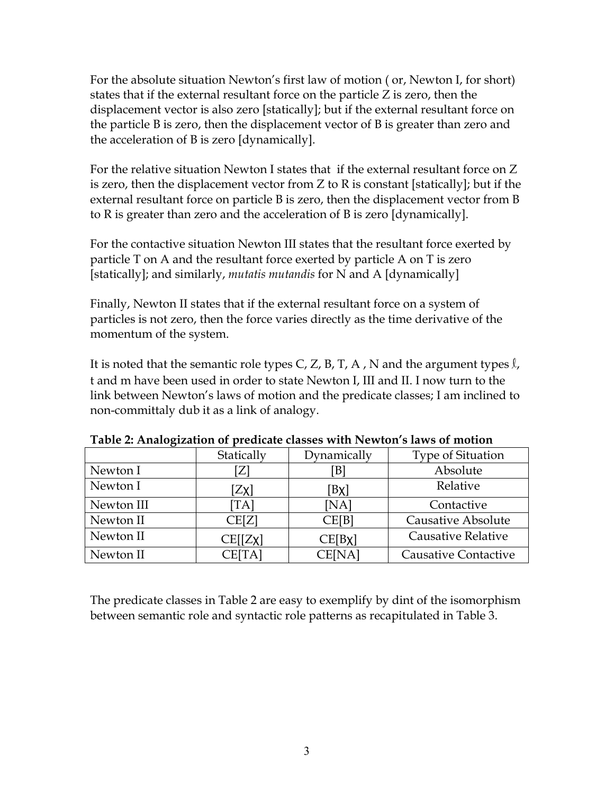For the absolute situation Newton's first law of motion ( or, Newton I, for short) states that if the external resultant force on the particle Z is zero, then the displacement vector is also zero [statically]; but if the external resultant force on the particle B is zero, then the displacement vector of B is greater than zero and the acceleration of B is zero [dynamically].

For the relative situation Newton I states that if the external resultant force on Z is zero, then the displacement vector from Z to R is constant [statically]; but if the external resultant force on particle B is zero, then the displacement vector from B to R is greater than zero and the acceleration of B is zero [dynamically].

For the contactive situation Newton III states that the resultant force exerted by particle T on A and the resultant force exerted by particle A on T is zero [statically]; and similarly, *mutatis mutandis* for N and A [dynamically]

Finally, Newton II states that if the external resultant force on a system of particles is not zero, then the force varies directly as the time derivative of the momentum of the system.

It is noted that the semantic role types C, Z, B, T, A, N and the argument types  $\ell$ , t and m have been used in order to state Newton I, III and II. I now turn to the link between Newton's laws of motion and the predicate classes; I am inclined to non-committaly dub it as a link of analogy.

|            | Statically | Dynamically  | Type of Situation           |
|------------|------------|--------------|-----------------------------|
| Newton I   | Z]         | `B]          | Absolute                    |
| Newton I   | $[Z\chi]$  | $[B\chi]$    | Relative                    |
| Newton III | TA]        | [NA]         | Contactive                  |
| Newton II  | CE[Z]      | CE[B]        | <b>Causative Absolute</b>   |
| Newton II  | CE[[Zx]    | $CE[B \chi]$ | <b>Causative Relative</b>   |
| Newton II  | CE[TA]     | CE[NA]       | <b>Causative Contactive</b> |

**Table 2: Analogization of predicate classes with Newton's laws of motion** 

The predicate classes in Table 2 are easy to exemplify by dint of the isomorphism between semantic role and syntactic role patterns as recapitulated in Table 3.